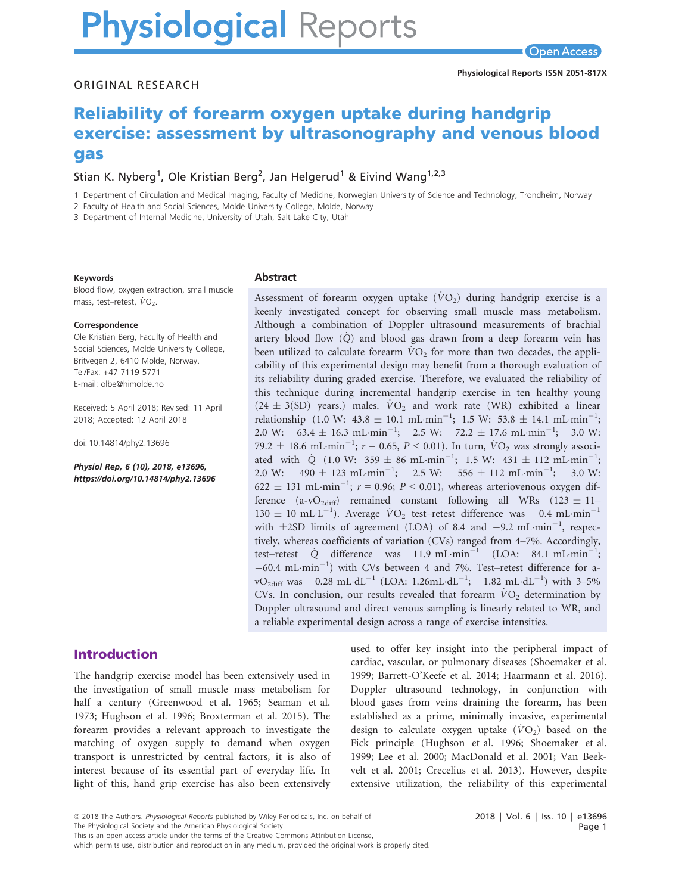# **Physiological Reports**

**Open Access** 

#### ORIGINAL RESEARCH

# Reliability of forearm oxygen uptake during handgrip exercise: assessment by ultrasonography and venous blood gas

# Stian K. Nyberg<sup>1</sup>, Ole Kristian Berg<sup>2</sup>, Jan Helgerud<sup>1</sup> & Eivind Wang<sup>1,2,3</sup>

1 Department of Circulation and Medical Imaging, Faculty of Medicine, Norwegian University of Science and Technology, Trondheim, Norway

2 Faculty of Health and Social Sciences, Molde University College, Molde, Norway

3 Department of Internal Medicine, University of Utah, Salt Lake City, Utah

#### Keywords

Blood flow, oxygen extraction, small muscle mass, test–retest,  $\dot{V}O_2$ .

#### Correspondence

Ole Kristian Berg, Faculty of Health and Social Sciences, Molde University College, Britvegen 2, 6410 Molde, Norway. Tel/Fax: +47 7119 5771 E-mail: olbe@himolde.no

Received: 5 April 2018; Revised: 11 April 2018; Accepted: 12 April 2018

doi: 10.14814/phy2.13696

Physiol Rep, 6 (10), 2018, e13696, <https://doi.org/10.14814/phy2.13696>

#### Abstract

Assessment of forearm oxygen uptake  $(VO_2)$  during handgrip exercise is a keenly investigated concept for observing small muscle mass metabolism. Although a combination of Doppler ultrasound measurements of brachial artery blood flow  $(Q)$  and blood gas drawn from a deep forearm vein has been utilized to calculate forearm  $\dot{V}O_2$  for more than two decades, the applicability of this experimental design may benefit from a thorough evaluation of its reliability during graded exercise. Therefore, we evaluated the reliability of this technique during incremental handgrip exercise in ten healthy young  $(24 \pm 3(SD)$  years.) males.  $\dot{V}O_2$  and work rate (WR) exhibited a linear relationship (1.0 W: 43.8  $\pm$  10.1 mL·min<sup>-1</sup>; 1.5 W: 53.8  $\pm$  14.1 mL·min<sup>-1</sup>; 2.0 W:  $63.4 \pm 16.3 \text{ mL-min}^{-1}$ ; 2.5 W:  $72.2 \pm 17.6 \text{ mL-min}^{-1}$ ; 3.0 W: 79.2  $\pm$  18.6 mL min<sup>-1</sup>;  $r = 0.65$ ,  $P < 0.01$ ). In turn,  $\dot{V}O_2$  was strongly associated with  $\dot{Q}$  (1.0 W: 359  $\pm$  86 mL·min<sup>-1</sup>; 1.5 W: 431  $\pm$  112 mL·min<sup>-1</sup>; 2.0 W:  $490 \pm 123 \text{ mL-min}^{-1}$ ; 2.5 W:  $556 \pm 112 \text{ mL-min}^{-1}$ ; 3.0 W:  $622 \pm 131$  mL·min<sup>-1</sup>;  $r = 0.96$ ;  $P < 0.01$ ), whereas arteriovenous oxygen difference (a-vO<sub>2diff</sub>) remained constant following all WRs (123  $\pm$  11–  $130 \pm 10 \text{ mL-L}^{-1}$ ). Average  $\text{VO}_2$  test–retest difference was -0.4 mL·min<sup>-1</sup> with  $\pm 2SD$  limits of agreement (LOA) of 8.4 and  $-9.2$  mL·min<sup>-1</sup>, respectively, whereas coefficients of variation (CVs) ranged from 4–7%. Accordingly, test–retest  $\dot{Q}$  difference was 11.9 mL·min<sup>-1</sup> (LOA: 84.1 mL·min<sup>-1</sup>;  $-60.4$  mL·min<sup>-1</sup>) with CVs between 4 and 7%. Test-retest difference for a $vO_{2\text{diff}}$  was  $-0.28$  mL·dL<sup>-1</sup> (LOA: 1.26mL·dL<sup>-1</sup>;  $-1.82$  mL·dL<sup>-1</sup>) with 3-5% CVs. In conclusion, our results revealed that forearm  $\dot{V}O_2$  determination by Doppler ultrasound and direct venous sampling is linearly related to WR, and a reliable experimental design across a range of exercise intensities.

# Introduction

The handgrip exercise model has been extensively used in the investigation of small muscle mass metabolism for half a century (Greenwood et al. 1965; Seaman et al. 1973; Hughson et al. 1996; Broxterman et al. 2015). The forearm provides a relevant approach to investigate the matching of oxygen supply to demand when oxygen transport is unrestricted by central factors, it is also of interest because of its essential part of everyday life. In light of this, hand grip exercise has also been extensively

used to offer key insight into the peripheral impact of cardiac, vascular, or pulmonary diseases (Shoemaker et al. 1999; Barrett-O'Keefe et al. 2014; Haarmann et al. 2016). Doppler ultrasound technology, in conjunction with blood gases from veins draining the forearm, has been established as a prime, minimally invasive, experimental design to calculate oxygen uptake  $(\dot{V}O_2)$  based on the Fick principle (Hughson et al. 1996; Shoemaker et al. 1999; Lee et al. 2000; MacDonald et al. 2001; Van Beekvelt et al. 2001; Crecelius et al. 2013). However, despite extensive utilization, the reliability of this experimental

The Physiological Society and the American Physiological Society.

which permits use, distribution and reproduction in any medium, provided the original work is properly cited.

<sup>ª</sup> 2018 The Authors. Physiological Reports published by Wiley Periodicals, Inc. on behalf of

This is an open access article under the terms of the [Creative Commons Attribution](http://creativecommons.org/licenses/by/4.0/) License,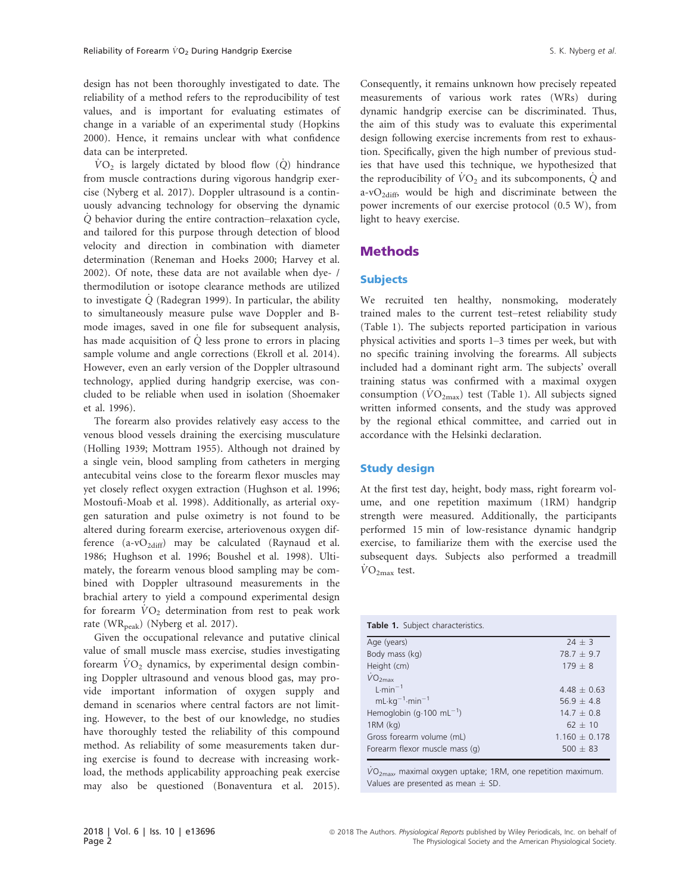design has not been thoroughly investigated to date. The reliability of a method refers to the reproducibility of test values, and is important for evaluating estimates of change in a variable of an experimental study (Hopkins 2000). Hence, it remains unclear with what confidence data can be interpreted.

 $\rm\dot{VO}_2$  is largely dictated by blood flow (Q) hindrance from muscle contractions during vigorous handgrip exercise (Nyberg et al. 2017). Doppler ultrasound is a continuously advancing technology for observing the dynamic Q\_ behavior during the entire contraction–relaxation cycle, and tailored for this purpose through detection of blood velocity and direction in combination with diameter determination (Reneman and Hoeks 2000; Harvey et al. 2002). Of note, these data are not available when dye- / thermodilution or isotope clearance methods are utilized to investigate Q\_ (Radegran 1999). In particular, the ability to simultaneously measure pulse wave Doppler and Bmode images, saved in one file for subsequent analysis, has made acquisition of  $\dot{Q}$  less prone to errors in placing sample volume and angle corrections (Ekroll et al. 2014). However, even an early version of the Doppler ultrasound technology, applied during handgrip exercise, was concluded to be reliable when used in isolation (Shoemaker et al. 1996).

The forearm also provides relatively easy access to the venous blood vessels draining the exercising musculature (Holling 1939; Mottram 1955). Although not drained by a single vein, blood sampling from catheters in merging antecubital veins close to the forearm flexor muscles may yet closely reflect oxygen extraction (Hughson et al. 1996; Mostoufi-Moab et al. 1998). Additionally, as arterial oxygen saturation and pulse oximetry is not found to be altered during forearm exercise, arteriovenous oxygen difference  $(a-vO_{2diff})$  may be calculated (Raynaud et al. 1986; Hughson et al. 1996; Boushel et al. 1998). Ultimately, the forearm venous blood sampling may be combined with Doppler ultrasound measurements in the brachial artery to yield a compound experimental design for forearm  $\dot{V}O_2$  determination from rest to peak work rate (WR<sub>peak</sub>) (Nyberg et al. 2017).

Given the occupational relevance and putative clinical value of small muscle mass exercise, studies investigating forearm  $\dot{V}O_2$  dynamics, by experimental design combining Doppler ultrasound and venous blood gas, may provide important information of oxygen supply and demand in scenarios where central factors are not limiting. However, to the best of our knowledge, no studies have thoroughly tested the reliability of this compound method. As reliability of some measurements taken during exercise is found to decrease with increasing workload, the methods applicability approaching peak exercise may also be questioned (Bonaventura et al. 2015).

Consequently, it remains unknown how precisely repeated measurements of various work rates (WRs) during dynamic handgrip exercise can be discriminated. Thus, the aim of this study was to evaluate this experimental design following exercise increments from rest to exhaustion. Specifically, given the high number of previous studies that have used this technique, we hypothesized that the reproducibility of  $\dot{V}O_2$  and its subcomponents,  $\dot{Q}$  and a-v $O_{2\text{diff}}$ , would be high and discriminate between the power increments of our exercise protocol (0.5 W), from light to heavy exercise.

# Methods

#### Subjects

We recruited ten healthy, nonsmoking, moderately trained males to the current test–retest reliability study (Table 1). The subjects reported participation in various physical activities and sports 1–3 times per week, but with no specific training involving the forearms. All subjects included had a dominant right arm. The subjects' overall training status was confirmed with a maximal oxygen consumption ( $\dot{V}O_{2\text{max}}$ ) test (Table 1). All subjects signed written informed consents, and the study was approved by the regional ethical committee, and carried out in accordance with the Helsinki declaration.

#### Study design

At the first test day, height, body mass, right forearm volume, and one repetition maximum (1RM) handgrip strength were measured. Additionally, the participants performed 15 min of low-resistance dynamic handgrip exercise, to familiarize them with the exercise used the subsequent days. Subjects also performed a treadmill  $\dot{V}$ O<sub>2max</sub> test.

| Table 1. Subject characteristics.    |                 |
|--------------------------------------|-----------------|
| Age (years)                          | $24 + 3$        |
| Body mass (kg)                       | $78.7 + 9.7$    |
| Height (cm)                          | $179 + 8$       |
| $\dot{V}O_{2\text{max}}$             |                 |
| $1 \cdot min^{-1}$                   | $4.48 + 0.63$   |
| $mL \cdot kq^{-1} \cdot min^{-1}$    | $56.9 + 4.8$    |
| Hemoglobin $(g.100 \text{ mL}^{-1})$ | $14.7 + 0.8$    |
| $1RM$ (kg)                           | $62 + 10$       |
| Gross forearm volume (mL)            | $1.160 + 0.178$ |
| Forearm flexor muscle mass (q)       | $500 + 83$      |

 $\dot{V}O_{2\text{max}}$ , maximal oxygen uptake; 1RM, one repetition maximum. Values are presented as mean  $\pm$  SD.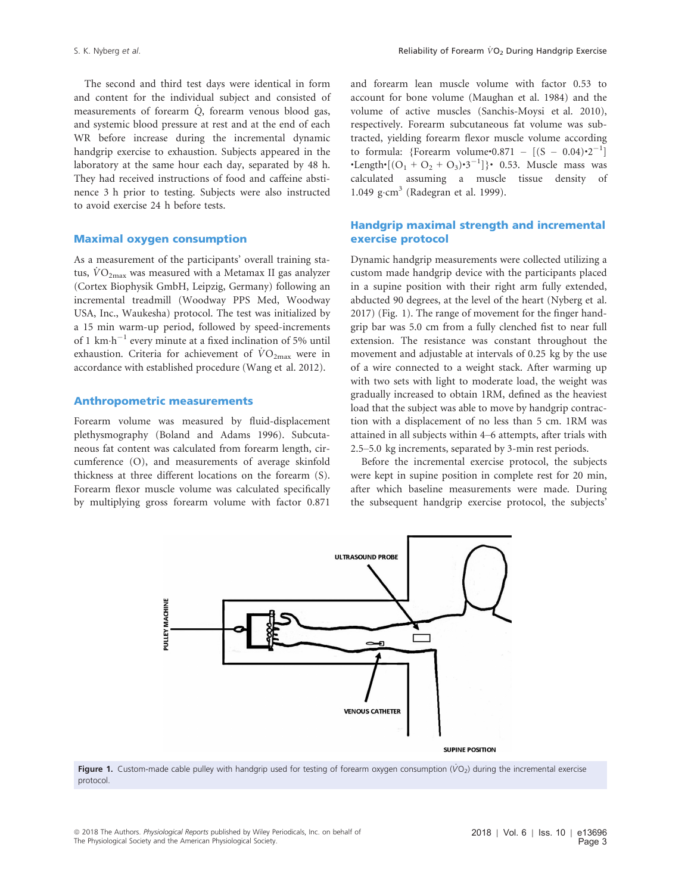The second and third test days were identical in form and content for the individual subject and consisted of measurements of forearm  $\dot{Q}$ , forearm venous blood gas, and systemic blood pressure at rest and at the end of each WR before increase during the incremental dynamic handgrip exercise to exhaustion. Subjects appeared in the laboratory at the same hour each day, separated by 48 h. They had received instructions of food and caffeine abstinence 3 h prior to testing. Subjects were also instructed to avoid exercise 24 h before tests.

#### Maximal oxygen consumption

As a measurement of the participants' overall training status,  $\dot{V}O_{2\text{max}}$  was measured with a Metamax II gas analyzer (Cortex Biophysik GmbH, Leipzig, Germany) following an incremental treadmill (Woodway PPS Med, Woodway USA, Inc., Waukesha) protocol. The test was initialized by a 15 min warm-up period, followed by speed-increments of 1 km $\cdot$ h<sup>-1</sup> every minute at a fixed inclination of 5% until exhaustion. Criteria for achievement of  $\rm \dot{V}O_{2max}$  were in accordance with established procedure (Wang et al. 2012).

#### Anthropometric measurements

Forearm volume was measured by fluid-displacement plethysmography (Boland and Adams 1996). Subcutaneous fat content was calculated from forearm length, circumference (O), and measurements of average skinfold thickness at three different locations on the forearm (S). Forearm flexor muscle volume was calculated specifically by multiplying gross forearm volume with factor 0.871

and forearm lean muscle volume with factor 0.53 to account for bone volume (Maughan et al. 1984) and the volume of active muscles (Sanchis-Moysi et al. 2010), respectively. Forearm subcutaneous fat volume was subtracted, yielding forearm flexor muscle volume according to formula: {Forearm volume∙0.871 –  $[(S - 0.04) \cdot 2^{-1}]$ •Length•[ $(O_1 + O_2 + O_3)$ •3<sup>-1</sup>]}• 0.53. Muscle mass was calculated assuming a muscle tissue density of 1.049  $\text{g}\cdot\text{cm}^3$  (Radegran et al. 1999).

#### Handgrip maximal strength and incremental exercise protocol

Dynamic handgrip measurements were collected utilizing a custom made handgrip device with the participants placed in a supine position with their right arm fully extended, abducted 90 degrees, at the level of the heart (Nyberg et al. 2017) (Fig. 1). The range of movement for the finger handgrip bar was 5.0 cm from a fully clenched fist to near full extension. The resistance was constant throughout the movement and adjustable at intervals of 0.25 kg by the use of a wire connected to a weight stack. After warming up with two sets with light to moderate load, the weight was gradually increased to obtain 1RM, defined as the heaviest load that the subject was able to move by handgrip contraction with a displacement of no less than 5 cm. 1RM was attained in all subjects within 4–6 attempts, after trials with 2.5–5.0 kg increments, separated by 3-min rest periods.

Before the incremental exercise protocol, the subjects were kept in supine position in complete rest for 20 min, after which baseline measurements were made. During the subsequent handgrip exercise protocol, the subjects'



Figure 1. Custom-made cable pulley with handgrip used for testing of forearm oxygen consumption ( $VO<sub>2</sub>$ ) during the incremental exercise protocol.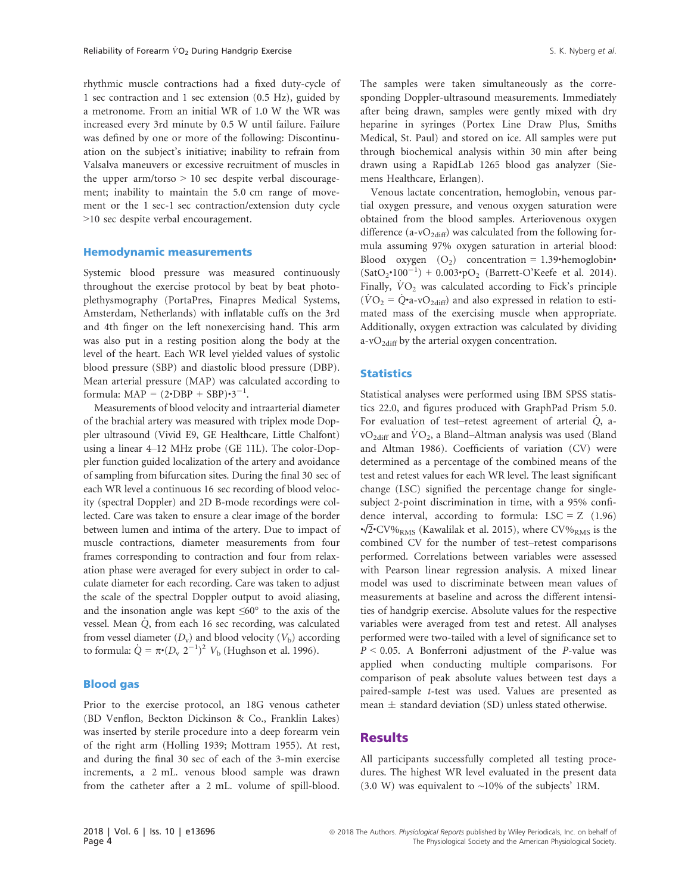rhythmic muscle contractions had a fixed duty-cycle of 1 sec contraction and 1 sec extension (0.5 Hz), guided by a metronome. From an initial WR of 1.0 W the WR was increased every 3rd minute by 0.5 W until failure. Failure was defined by one or more of the following: Discontinuation on the subject's initiative; inability to refrain from Valsalva maneuvers or excessive recruitment of muscles in the upper arm/torso  $> 10$  sec despite verbal discouragement; inability to maintain the 5.0 cm range of movement or the 1 sec-1 sec contraction/extension duty cycle >10 sec despite verbal encouragement.

#### Hemodynamic measurements

Systemic blood pressure was measured continuously throughout the exercise protocol by beat by beat photoplethysmography (PortaPres, Finapres Medical Systems, Amsterdam, Netherlands) with inflatable cuffs on the 3rd and 4th finger on the left nonexercising hand. This arm was also put in a resting position along the body at the level of the heart. Each WR level yielded values of systolic blood pressure (SBP) and diastolic blood pressure (DBP). Mean arterial pressure (MAP) was calculated according to formula:  $MAP = (2 \cdot DBP + SBP) \cdot 3^{-1}$ .

Measurements of blood velocity and intraarterial diameter of the brachial artery was measured with triplex mode Doppler ultrasound (Vivid E9, GE Healthcare, Little Chalfont) using a linear 4–12 MHz probe (GE 11L). The color-Doppler function guided localization of the artery and avoidance of sampling from bifurcation sites. During the final 30 sec of each WR level a continuous 16 sec recording of blood velocity (spectral Doppler) and 2D B-mode recordings were collected. Care was taken to ensure a clear image of the border between lumen and intima of the artery. Due to impact of muscle contractions, diameter measurements from four frames corresponding to contraction and four from relaxation phase were averaged for every subject in order to calculate diameter for each recording. Care was taken to adjust the scale of the spectral Doppler output to avoid aliasing, and the insonation angle was kept  $\leq 60^{\circ}$  to the axis of the vessel. Mean  $\dot{Q}$ , from each 16 sec recording, was calculated from vessel diameter  $(D_v)$  and blood velocity  $(V_b)$  according to formula:  $\dot{Q} = \pi \cdot (D_v \ 2^{-1})^2 \ V_b$  (Hughson et al. 1996).

#### Blood gas

Prior to the exercise protocol, an 18G venous catheter (BD Venflon, Beckton Dickinson & Co., Franklin Lakes) was inserted by sterile procedure into a deep forearm vein of the right arm (Holling 1939; Mottram 1955). At rest, and during the final 30 sec of each of the 3-min exercise increments, a 2 mL. venous blood sample was drawn from the catheter after a 2 mL. volume of spill-blood.

The samples were taken simultaneously as the corresponding Doppler-ultrasound measurements. Immediately after being drawn, samples were gently mixed with dry heparine in syringes (Portex Line Draw Plus, Smiths Medical, St. Paul) and stored on ice. All samples were put through biochemical analysis within 30 min after being drawn using a RapidLab 1265 blood gas analyzer (Siemens Healthcare, Erlangen).

Venous lactate concentration, hemoglobin, venous partial oxygen pressure, and venous oxygen saturation were obtained from the blood samples. Arteriovenous oxygen difference (a-v $O_{2diff}$ ) was calculated from the following formula assuming 97% oxygen saturation in arterial blood: Blood oxygen  $(O_2)$  concentration = 1.39•hemoglobin•  $(SatO<sub>2</sub>•100<sup>-1</sup>) + 0.003•pO<sub>2</sub>$  (Barrett-O'Keefe et al. 2014). Finally,  $\dot{V}O_2$  was calculated according to Fick's principle  $(\dot{V}O_2 = \dot{Q} \cdot a - vO_{2\text{diff}})$  and also expressed in relation to estimated mass of the exercising muscle when appropriate. Additionally, oxygen extraction was calculated by dividing a-vO<sub>2diff</sub> by the arterial oxygen concentration.

#### **Statistics**

Statistical analyses were performed using IBM SPSS statistics 22.0, and figures produced with GraphPad Prism 5.0. For evaluation of test–retest agreement of arterial Q, a $vO_{2\text{diff}}$  and  $\dot{V}O_2$ , a Bland–Altman analysis was used (Bland and Altman 1986). Coefficients of variation (CV) were determined as a percentage of the combined means of the test and retest values for each WR level. The least significant change (LSC) signified the percentage change for singlesubject 2-point discrimination in time, with a 95% confidence interval, according to formula:  $LSC = Z (1.96)$  $\cdot\sqrt{2}$ •CV%<sub>RMS</sub> (Kawalilak et al. 2015), where CV%<sub>RMS</sub> is the combined CV for the number of test–retest comparisons performed. Correlations between variables were assessed with Pearson linear regression analysis. A mixed linear model was used to discriminate between mean values of measurements at baseline and across the different intensities of handgrip exercise. Absolute values for the respective variables were averaged from test and retest. All analyses performed were two-tailed with a level of significance set to  $P < 0.05$ . A Bonferroni adjustment of the P-value was applied when conducting multiple comparisons. For comparison of peak absolute values between test days a paired-sample t-test was used. Values are presented as mean  $\pm$  standard deviation (SD) unless stated otherwise.

#### Results

All participants successfully completed all testing procedures. The highest WR level evaluated in the present data  $(3.0 \text{ W})$  was equivalent to ~10% of the subjects' 1RM.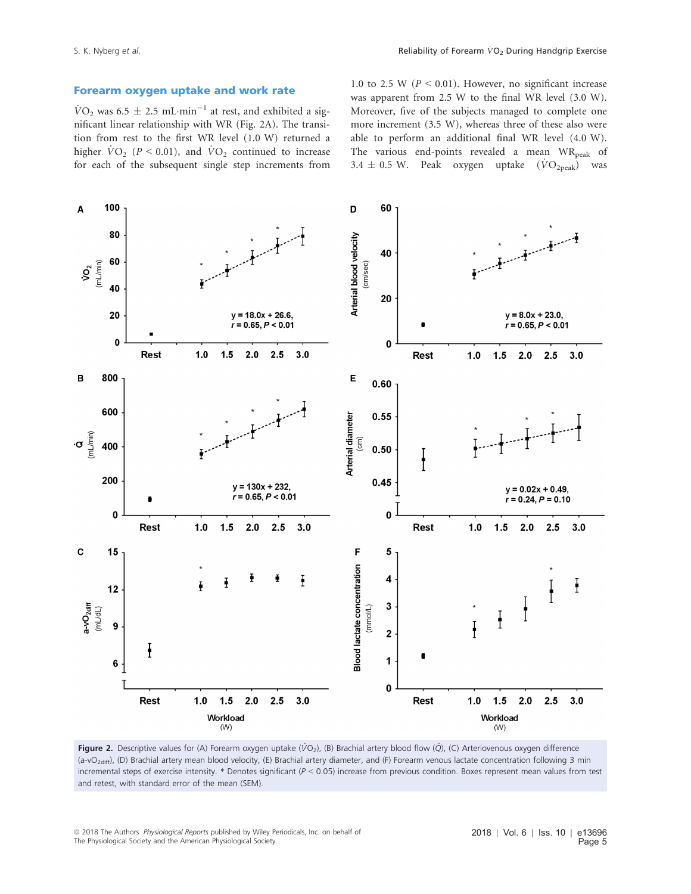#### Forearm oxygen uptake and work rate

 $\dot{V}O_2$  was 6.5  $\pm$  2.5 mL·min<sup>-1</sup> at rest, and exhibited a significant linear relationship with WR (Fig. 2A). The transition from rest to the first WR level (1.0 W) returned a higher  $\dot{V}O_2$  (P < 0.01), and  $\dot{V}O_2$  continued to increase for each of the subsequent single step increments from

1.0 to 2.5 W ( $P \le 0.01$ ). However, no significant increase was apparent from 2.5 W to the final WR level (3.0 W). Moreover, five of the subjects managed to complete one more increment (3.5 W), whereas three of these also were able to perform an additional final WR level (4.0 W). The various end-points revealed a mean  $WR_{\text{peak}}$  of 3.4  $\pm$  0.5 W. Peak oxygen uptake  $(\dot{V}O_{2\text{peak}})$  was



Figure 2. Descriptive values for (A) Forearm oxygen uptake (VO<sub>2</sub>), (B) Brachial artery blood flow (O), (C) Arteriovenous oxygen difference (a-vO<sub>2diff</sub>), (D) Brachial artery mean blood velocity, (E) Brachial artery diameter, and (F) Forearm venous lactate concentration following 3 min incremental steps of exercise intensity.  $*$  Denotes significant ( $P < 0.05$ ) increase from previous condition. Boxes represent mean values from test and retest, with standard error of the mean (SEM).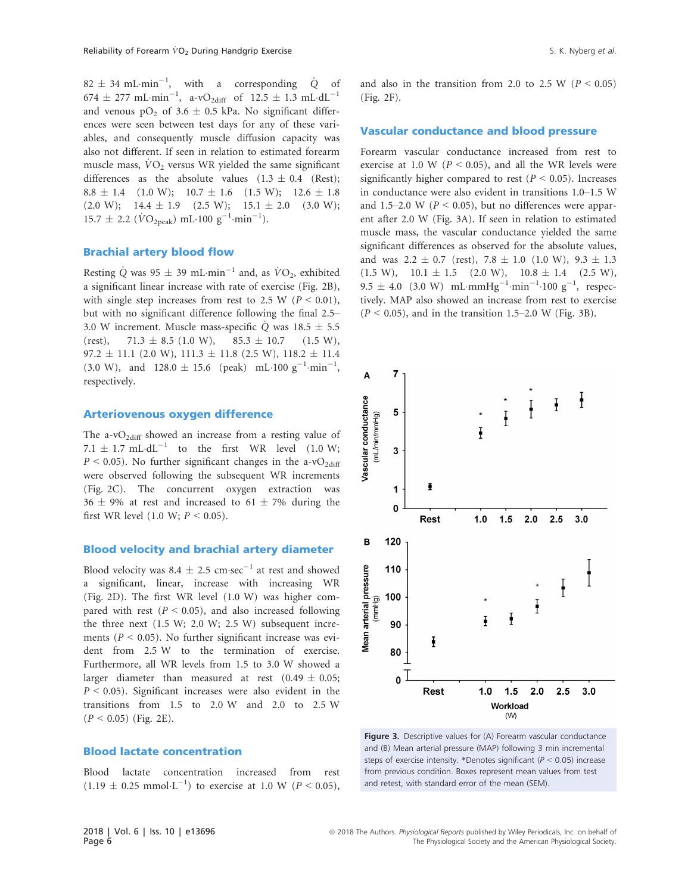$82 \pm 34 \text{ mL-min}^{-1}$ , with a corresponding  $\dot{Q}$  of  $674 \pm 277 \text{ mL-min}^{-1}$ , a-v $O_{2\text{diff}}$  of  $12.5 \pm 1.3 \text{ mL} \cdot \text{d} \text{L}^{-1}$ and venous  $pO_2$  of 3.6  $\pm$  0.5 kPa. No significant differences were seen between test days for any of these variables, and consequently muscle diffusion capacity was also not different. If seen in relation to estimated forearm muscle mass,  $\dot{V}O_2$  versus WR yielded the same significant differences as the absolute values  $(1.3 \pm 0.4)$  (Rest);  $8.8 \pm 1.4$  (1.0 W);  $10.7 \pm 1.6$  (1.5 W);  $12.6 \pm 1.8$  $(2.0 \text{ W}); \quad 14.4 \pm 1.9 \quad (2.5 \text{ W}); \quad 15.1 \pm 2.0 \quad (3.0 \text{ W});$  $15.7 \pm 2.2 \; (\dot{V}O_{2\text{peak}}) \; \text{mL} \cdot 100 \; \text{g}^{-1} \cdot \text{min}^{-1}).$ 

#### Brachial artery blood flow

Resting Q was 95  $\pm$  39 mL·min<sup>-1</sup> and, as  $\dot{V}O_2$ , exhibited a significant linear increase with rate of exercise (Fig. 2B), with single step increases from rest to 2.5 W ( $P < 0.01$ ), but with no significant difference following the final 2.5– 3.0 W increment. Muscle mass-specific Q was  $18.5 \pm 5.5$ <br>(rest),  $71.3 \pm 8.5$  (1.0 W),  $85.3 \pm 10.7$  (1.5 W),  $71.3 \pm 8.5$  (1.0 W), 85.3  $\pm$  10.7  $97.2 \pm 11.1$  (2.0 W),  $111.3 \pm 11.8$  (2.5 W),  $118.2 \pm 11.4$  $(3.0 \text{ W})$ , and  $128.0 \pm 15.6$  (peak) mL·100 g<sup>-1</sup>·min<sup>-1</sup>, respectively.

#### Arteriovenous oxygen difference

The a-v $O_{2diff}$  showed an increase from a resting value of 7.1  $\pm$  1.7 mL·dL<sup>-1</sup> to the first WR level (1.0 W;  $P \le 0.05$ ). No further significant changes in the a-vO<sub>2diff</sub> were observed following the subsequent WR increments (Fig. 2C). The concurrent oxygen extraction was  $36 \pm 9\%$  at rest and increased to  $61 \pm 7\%$  during the first WR level (1.0 W;  $P < 0.05$ ).

#### Blood velocity and brachial artery diameter

Blood velocity was 8.4  $\pm$  2.5 cm·sec<sup>-1</sup> at rest and showed a significant, linear, increase with increasing WR (Fig. 2D). The first WR level (1.0 W) was higher compared with rest ( $P < 0.05$ ), and also increased following the three next (1.5 W; 2.0 W; 2.5 W) subsequent increments ( $P < 0.05$ ). No further significant increase was evident from 2.5 W to the termination of exercise. Furthermore, all WR levels from 1.5 to 3.0 W showed a larger diameter than measured at rest  $(0.49 \pm 0.05)$ ;  $P < 0.05$ ). Significant increases were also evident in the transitions from 1.5 to 2.0 W and 2.0 to 2.5 W  $(P < 0.05)$  (Fig. 2E).

#### Blood lactate concentration

Blood lactate concentration increased from rest  $(1.19 \pm 0.25 \text{ mmol}\cdot\text{L}^{-1})$  to exercise at 1.0 W ( $P < 0.05$ ),

and also in the transition from 2.0 to 2.5 W ( $P < 0.05$ ) (Fig. 2F).

#### Vascular conductance and blood pressure

Forearm vascular conductance increased from rest to exercise at 1.0 W ( $P < 0.05$ ), and all the WR levels were significantly higher compared to rest ( $P < 0.05$ ). Increases in conductance were also evident in transitions 1.0–1.5 W and 1.5–2.0 W ( $P < 0.05$ ), but no differences were apparent after 2.0 W (Fig. 3A). If seen in relation to estimated muscle mass, the vascular conductance yielded the same significant differences as observed for the absolute values, and was  $2.2 \pm 0.7$  (rest),  $7.8 \pm 1.0$  (1.0 W),  $9.3 \pm 1.3$  $(1.5 W)$ ,  $10.1 \pm 1.5$   $(2.0 W)$ ,  $10.8 \pm 1.4$   $(2.5 W)$ ,  $9.5 \pm 4.0$  (3.0 W) mL·mmHg<sup>-1</sup>·min<sup>-1</sup>·100 g<sup>-1</sup>, respectively. MAP also showed an increase from rest to exercise  $(P < 0.05)$ , and in the transition 1.5–2.0 W (Fig. 3B).



Figure 3. Descriptive values for (A) Forearm vascular conductance and (B) Mean arterial pressure (MAP) following 3 min incremental steps of exercise intensity. \*Denotes significant ( $P < 0.05$ ) increase from previous condition. Boxes represent mean values from test and retest, with standard error of the mean (SEM).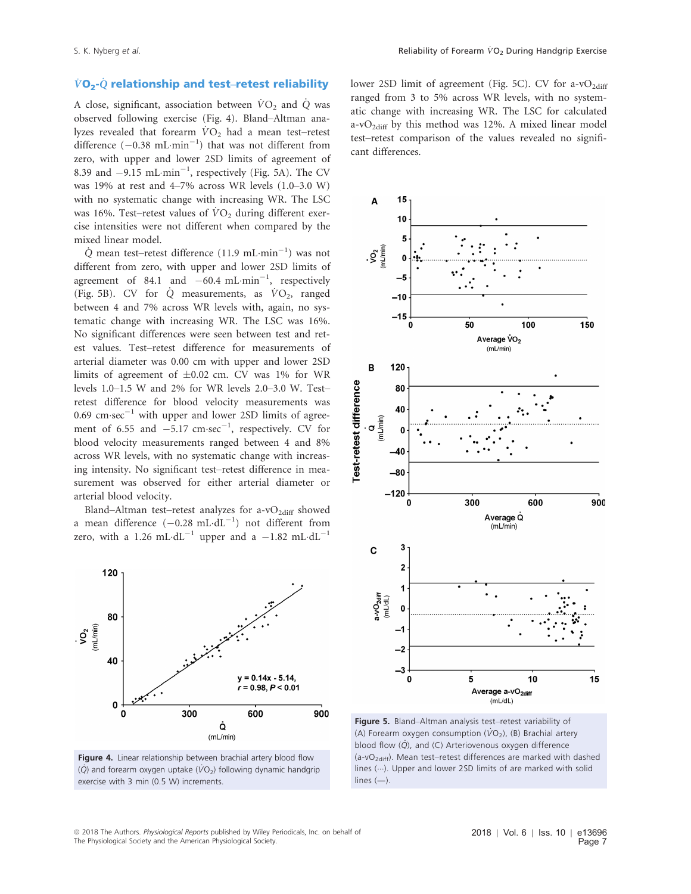### $\dot{V}O_2$ - $\dot{Q}$  relationship and test–retest reliability

A close, significant, association between  $\dot{V}O_2$  and  $\dot{Q}$  was observed following exercise (Fig. 4). Bland–Altman analyzes revealed that forearm  $\dot{V}O_2$  had a mean test–retest difference  $(-0.38 \text{ mL-min}^{-1})$  that was not different from zero, with upper and lower 2SD limits of agreement of 8.39 and  $-9.15$  mL·min<sup>-1</sup>, respectively (Fig. 5A). The CV was 19% at rest and 4–7% across WR levels (1.0–3.0 W) with no systematic change with increasing WR. The LSC was 16%. Test–retest values of  $\dot{V}O_2$  during different exercise intensities were not different when compared by the mixed linear model.

 $\dot{Q}$  mean test–retest difference (11.9 mL·min<sup>-1</sup>) was not different from zero, with upper and lower 2SD limits of agreement of 84.1 and  $-60.4 \text{ mL-min}^{-1}$ , respectively (Fig. 5B). CV for  $\dot{Q}$  measurements, as  $\dot{V}O_2$ , ranged between 4 and 7% across WR levels with, again, no systematic change with increasing WR. The LSC was 16%. No significant differences were seen between test and retest values. Test–retest difference for measurements of arterial diameter was 0.00 cm with upper and lower 2SD limits of agreement of  $\pm 0.02$  cm. CV was 1% for WR levels 1.0–1.5 W and 2% for WR levels 2.0–3.0 W. Test– retest difference for blood velocity measurements was  $0.69$  cm·sec<sup>-1</sup> with upper and lower 2SD limits of agreement of 6.55 and  $-5.17$  cm·sec<sup>-1</sup>, respectively. CV for blood velocity measurements ranged between 4 and 8% across WR levels, with no systematic change with increasing intensity. No significant test–retest difference in measurement was observed for either arterial diameter or arterial blood velocity.

Bland–Altman test–retest analyzes for a-v $O_{2\text{diff}}$  showed a mean difference  $(-0.28 \text{ mL} \cdot \text{dL}^{-1})$  not different from zero, with a 1.26 mL·dL<sup>-1</sup> upper and a  $-1.82$  mL·dL<sup>-1</sup>



Figure 4. Linear relationship between brachial artery blood flow  $(\dot{Q})$  and forearm oxygen uptake ( $\dot{V}O_2$ ) following dynamic handgrip exercise with 3 min (0.5 W) increments.

lower 2SD limit of agreement (Fig. 5C). CV for a-vO<sub>2diff</sub> ranged from 3 to 5% across WR levels, with no systematic change with increasing WR. The LSC for calculated a-v $O_{2\text{diff}}$  by this method was 12%. A mixed linear model test–retest comparison of the values revealed no significant differences.



Figure 5. Bland–Altman analysis test–retest variability of (A) Forearm oxygen consumption  $(\dot{VO}_2)$ , (B) Brachial artery blood flow  $(\dot{Q})$ , and  $(C)$  Arteriovenous oxygen difference  $(a-vO<sub>2diff</sub>)$ . Mean test–retest differences are marked with dashed lines  $(...)$ . Upper and lower 2SD limits of are marked with solid lines (―).

<sup>ª</sup> 2018 The Authors. Physiological Reports published by Wiley Periodicals, Inc. on behalf of The Physiological Society and the American Physiological Society.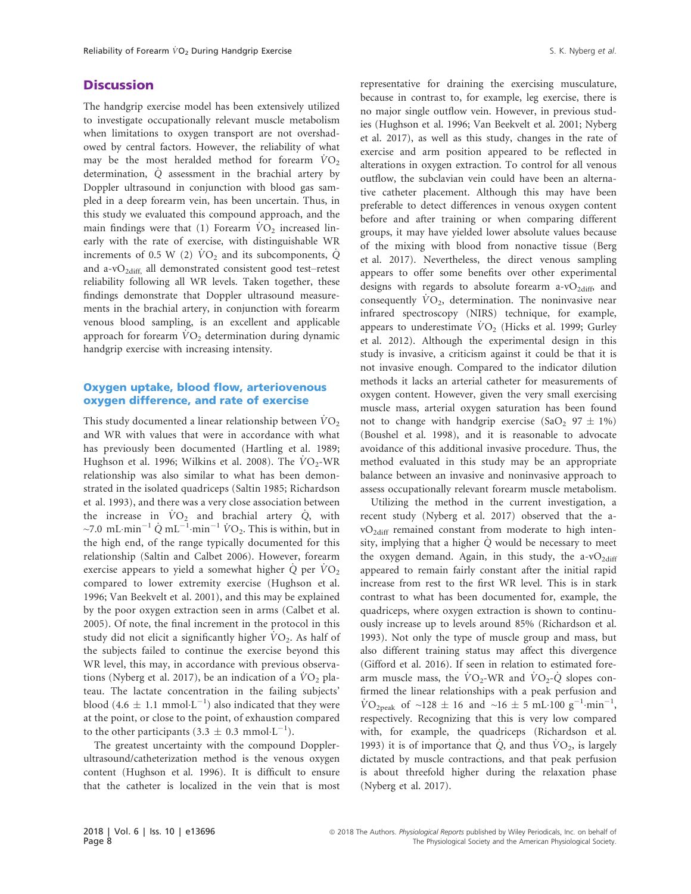#### **Discussion**

The handgrip exercise model has been extensively utilized to investigate occupationally relevant muscle metabolism when limitations to oxygen transport are not overshadowed by central factors. However, the reliability of what may be the most heralded method for forearm  $\dot{V}O_2$ determination, Q\_ assessment in the brachial artery by Doppler ultrasound in conjunction with blood gas sampled in a deep forearm vein, has been uncertain. Thus, in this study we evaluated this compound approach, and the main findings were that (1) Forearm  $VO<sub>2</sub>$  increased linearly with the rate of exercise, with distinguishable WR increments of 0.5 W (2)  $\dot{V}O_2$  and its subcomponents,  $\dot{Q}$ and a-vO<sub>2diff</sub>, all demonstrated consistent good test-retest reliability following all WR levels. Taken together, these findings demonstrate that Doppler ultrasound measurements in the brachial artery, in conjunction with forearm venous blood sampling, is an excellent and applicable approach for forearm  $VO<sub>2</sub>$  determination during dynamic handgrip exercise with increasing intensity.

#### Oxygen uptake, blood flow, arteriovenous oxygen difference, and rate of exercise

This study documented a linear relationship between  $\rm\ddot{VO}_2$ and WR with values that were in accordance with what has previously been documented (Hartling et al. 1989; Hughson et al. 1996; Wilkins et al. 2008). The  $\rm\ddot{VO_{2}-WR}$ relationship was also similar to what has been demonstrated in the isolated quadriceps (Saltin 1985; Richardson et al. 1993), and there was a very close association between the increase in  $\dot{V}O_2$  and brachial artery  $\dot{Q}$ , with ~7.0 mL·min<sup>-1</sup>  $\dot{Q}$  mL<sup>-1</sup>·min<sup>-1</sup>  $\dot{V}O_2$ . This is within, but in the high end, of the range typically documented for this relationship (Saltin and Calbet 2006). However, forearm exercise appears to yield a somewhat higher  $\dot{Q}$  per  $\dot{V}O_2$ compared to lower extremity exercise (Hughson et al. 1996; Van Beekvelt et al. 2001), and this may be explained by the poor oxygen extraction seen in arms (Calbet et al. 2005). Of note, the final increment in the protocol in this study did not elicit a significantly higher  $VO_2$ . As half of the subjects failed to continue the exercise beyond this WR level, this may, in accordance with previous observations (Nyberg et al. 2017), be an indication of a  $\dot{V}O_2$  plateau. The lactate concentration in the failing subjects' blood (4.6  $\pm$  1.1 mmol·L<sup>-1</sup>) also indicated that they were at the point, or close to the point, of exhaustion compared to the other participants  $(3.3 \pm 0.3 \text{ mmol}\cdot\text{L}^{-1})$ .

The greatest uncertainty with the compound Dopplerultrasound/catheterization method is the venous oxygen content (Hughson et al. 1996). It is difficult to ensure that the catheter is localized in the vein that is most representative for draining the exercising musculature, because in contrast to, for example, leg exercise, there is no major single outflow vein. However, in previous studies (Hughson et al. 1996; Van Beekvelt et al. 2001; Nyberg et al. 2017), as well as this study, changes in the rate of exercise and arm position appeared to be reflected in alterations in oxygen extraction. To control for all venous outflow, the subclavian vein could have been an alternative catheter placement. Although this may have been preferable to detect differences in venous oxygen content before and after training or when comparing different groups, it may have yielded lower absolute values because of the mixing with blood from nonactive tissue (Berg et al. 2017). Nevertheless, the direct venous sampling appears to offer some benefits over other experimental designs with regards to absolute forearm a-v $O_{2\text{diff}}$ , and consequently  $VO_2$ , determination. The noninvasive near infrared spectroscopy (NIRS) technique, for example, appears to underestimate  $\rm\dot{VO}_{2}$  (Hicks et al. 1999; Gurley et al. 2012). Although the experimental design in this study is invasive, a criticism against it could be that it is not invasive enough. Compared to the indicator dilution methods it lacks an arterial catheter for measurements of oxygen content. However, given the very small exercising muscle mass, arterial oxygen saturation has been found not to change with handgrip exercise (SaO<sub>2</sub> 97  $\pm$  1%) (Boushel et al. 1998), and it is reasonable to advocate avoidance of this additional invasive procedure. Thus, the method evaluated in this study may be an appropriate balance between an invasive and noninvasive approach to assess occupationally relevant forearm muscle metabolism.

Utilizing the method in the current investigation, a recent study (Nyberg et al. 2017) observed that the a $vO_{2\text{diff}}$  remained constant from moderate to high intensity, implying that a higher  $\dot{Q}$  would be necessary to meet the oxygen demand. Again, in this study, the a-v $O_{2\text{diff}}$ appeared to remain fairly constant after the initial rapid increase from rest to the first WR level. This is in stark contrast to what has been documented for, example, the quadriceps, where oxygen extraction is shown to continuously increase up to levels around 85% (Richardson et al. 1993). Not only the type of muscle group and mass, but also different training status may affect this divergence (Gifford et al. 2016). If seen in relation to estimated forearm muscle mass, the  $\dot{V}O_2$ -WR and  $\dot{V}O_2$ - $\dot{Q}$  slopes confirmed the linear relationships with a peak perfusion and  $\text{VO}_{2\text{peak}}$  of ~128  $\pm$  16 and ~16  $\pm$  5 mL·100 g<sup>-1</sup>·min<sup>-1</sup>, respectively. Recognizing that this is very low compared with, for example, the quadriceps (Richardson et al. 1993) it is of importance that  $\dot{Q}$ , and thus  $\dot{V}O_2$ , is largely dictated by muscle contractions, and that peak perfusion is about threefold higher during the relaxation phase (Nyberg et al. 2017).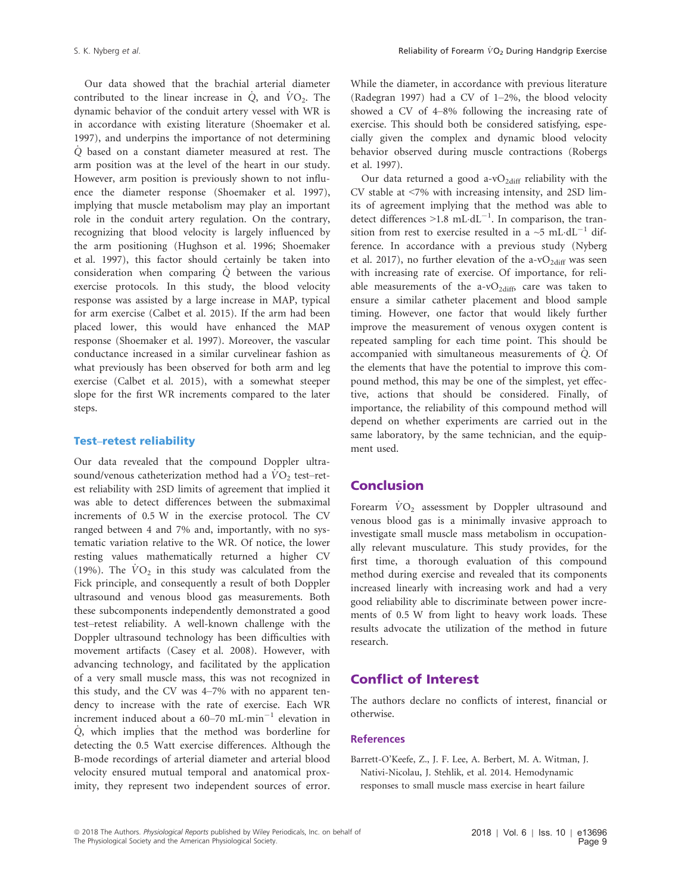Our data showed that the brachial arterial diameter contributed to the linear increase in  $\dot{Q}$ , and  $\dot{VQ}$ . The dynamic behavior of the conduit artery vessel with WR is in accordance with existing literature (Shoemaker et al. 1997), and underpins the importance of not determining Q\_ based on a constant diameter measured at rest. The arm position was at the level of the heart in our study. However, arm position is previously shown to not influence the diameter response (Shoemaker et al. 1997), implying that muscle metabolism may play an important role in the conduit artery regulation. On the contrary, recognizing that blood velocity is largely influenced by the arm positioning (Hughson et al. 1996; Shoemaker et al. 1997), this factor should certainly be taken into consideration when comparing  $\dot{Q}$  between the various exercise protocols. In this study, the blood velocity response was assisted by a large increase in MAP, typical for arm exercise (Calbet et al. 2015). If the arm had been placed lower, this would have enhanced the MAP response (Shoemaker et al. 1997). Moreover, the vascular conductance increased in a similar curvelinear fashion as what previously has been observed for both arm and leg exercise (Calbet et al. 2015), with a somewhat steeper slope for the first WR increments compared to the later steps.

#### Test–retest reliability

Our data revealed that the compound Doppler ultrasound/venous catheterization method had a  $VO<sub>2</sub>$  test–retest reliability with 2SD limits of agreement that implied it was able to detect differences between the submaximal increments of 0.5 W in the exercise protocol. The CV ranged between 4 and 7% and, importantly, with no systematic variation relative to the WR. Of notice, the lower resting values mathematically returned a higher CV (19%). The  $\dot{V}O_2$  in this study was calculated from the Fick principle, and consequently a result of both Doppler ultrasound and venous blood gas measurements. Both these subcomponents independently demonstrated a good test–retest reliability. A well-known challenge with the Doppler ultrasound technology has been difficulties with movement artifacts (Casey et al. 2008). However, with advancing technology, and facilitated by the application of a very small muscle mass, this was not recognized in this study, and the CV was 4–7% with no apparent tendency to increase with the rate of exercise. Each WR increment induced about a  $60-70$  mL·min<sup>-1</sup> elevation in  $\dot{Q}$ , which implies that the method was borderline for detecting the 0.5 Watt exercise differences. Although the B-mode recordings of arterial diameter and arterial blood velocity ensured mutual temporal and anatomical proximity, they represent two independent sources of error.

While the diameter, in accordance with previous literature (Radegran 1997) had a CV of 1–2%, the blood velocity showed a CV of 4–8% following the increasing rate of exercise. This should both be considered satisfying, especially given the complex and dynamic blood velocity behavior observed during muscle contractions (Robergs et al. 1997).

Our data returned a good a-v $O_{2\text{diff}}$  reliability with the CV stable at <7% with increasing intensity, and 2SD limits of agreement implying that the method was able to detect differences  $>1.8$  mL·dL<sup>-1</sup>. In comparison, the transition from rest to exercise resulted in a  $\sim$ 5 mL·dL<sup>-1</sup> difference. In accordance with a previous study (Nyberg et al. 2017), no further elevation of the a-v $O_{2\text{diff}}$  was seen with increasing rate of exercise. Of importance, for reliable measurements of the a-v $O_{2\text{diff}}$  care was taken to ensure a similar catheter placement and blood sample timing. However, one factor that would likely further improve the measurement of venous oxygen content is repeated sampling for each time point. This should be accompanied with simultaneous measurements of Q. Of the elements that have the potential to improve this compound method, this may be one of the simplest, yet effective, actions that should be considered. Finally, of importance, the reliability of this compound method will depend on whether experiments are carried out in the same laboratory, by the same technician, and the equipment used.

# Conclusion

Forearm  $\dot{V}O_2$  assessment by Doppler ultrasound and venous blood gas is a minimally invasive approach to investigate small muscle mass metabolism in occupationally relevant musculature. This study provides, for the first time, a thorough evaluation of this compound method during exercise and revealed that its components increased linearly with increasing work and had a very good reliability able to discriminate between power increments of 0.5 W from light to heavy work loads. These results advocate the utilization of the method in future research.

# Conflict of Interest

The authors declare no conflicts of interest, financial or otherwise.

#### References

Barrett-O'Keefe, Z., J. F. Lee, A. Berbert, M. A. Witman, J. Nativi-Nicolau, J. Stehlik, et al. 2014. Hemodynamic responses to small muscle mass exercise in heart failure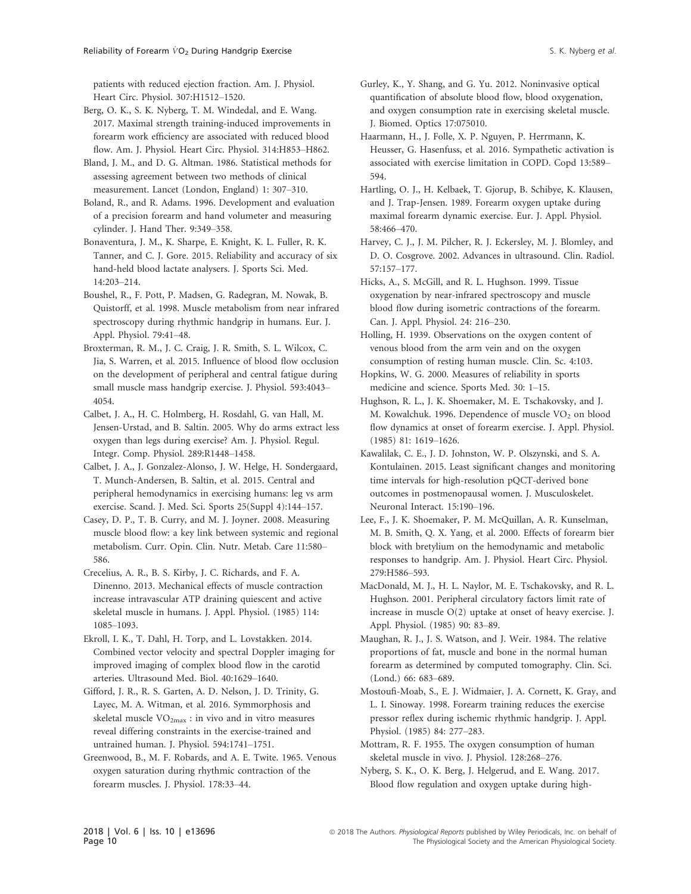patients with reduced ejection fraction. Am. J. Physiol. Heart Circ. Physiol. 307:H1512–1520.

- Berg, O. K., S. K. Nyberg, T. M. Windedal, and E. Wang. 2017. Maximal strength training-induced improvements in forearm work efficiency are associated with reduced blood flow. Am. J. Physiol. Heart Circ. Physiol. 314:H853–H862.
- Bland, J. M., and D. G. Altman. 1986. Statistical methods for assessing agreement between two methods of clinical measurement. Lancet (London, England) 1: 307–310.
- Boland, R., and R. Adams. 1996. Development and evaluation of a precision forearm and hand volumeter and measuring cylinder. J. Hand Ther. 9:349–358.
- Bonaventura, J. M., K. Sharpe, E. Knight, K. L. Fuller, R. K. Tanner, and C. J. Gore. 2015. Reliability and accuracy of six hand-held blood lactate analysers. J. Sports Sci. Med. 14:203–214.
- Boushel, R., F. Pott, P. Madsen, G. Radegran, M. Nowak, B. Quistorff, et al. 1998. Muscle metabolism from near infrared spectroscopy during rhythmic handgrip in humans. Eur. J. Appl. Physiol. 79:41–48.
- Broxterman, R. M., J. C. Craig, J. R. Smith, S. L. Wilcox, C. Jia, S. Warren, et al. 2015. Influence of blood flow occlusion on the development of peripheral and central fatigue during small muscle mass handgrip exercise. J. Physiol. 593:4043– 4054.

Calbet, J. A., H. C. Holmberg, H. Rosdahl, G. van Hall, M. Jensen-Urstad, and B. Saltin. 2005. Why do arms extract less oxygen than legs during exercise? Am. J. Physiol. Regul. Integr. Comp. Physiol. 289:R1448–1458.

Calbet, J. A., J. Gonzalez-Alonso, J. W. Helge, H. Sondergaard, T. Munch-Andersen, B. Saltin, et al. 2015. Central and peripheral hemodynamics in exercising humans: leg vs arm exercise. Scand. J. Med. Sci. Sports 25(Suppl 4):144–157.

- Casey, D. P., T. B. Curry, and M. J. Joyner. 2008. Measuring muscle blood flow: a key link between systemic and regional metabolism. Curr. Opin. Clin. Nutr. Metab. Care 11:580– 586.
- Crecelius, A. R., B. S. Kirby, J. C. Richards, and F. A. Dinenno. 2013. Mechanical effects of muscle contraction increase intravascular ATP draining quiescent and active skeletal muscle in humans. J. Appl. Physiol. (1985) 114: 1085–1093.

Ekroll, I. K., T. Dahl, H. Torp, and L. Lovstakken. 2014. Combined vector velocity and spectral Doppler imaging for improved imaging of complex blood flow in the carotid arteries. Ultrasound Med. Biol. 40:1629–1640.

Gifford, J. R., R. S. Garten, A. D. Nelson, J. D. Trinity, G. Layec, M. A. Witman, et al. 2016. Symmorphosis and skeletal muscle  $VO<sub>2max</sub>$ : in vivo and in vitro measures reveal differing constraints in the exercise-trained and untrained human. J. Physiol. 594:1741–1751.

Greenwood, B., M. F. Robards, and A. E. Twite. 1965. Venous oxygen saturation during rhythmic contraction of the forearm muscles. J. Physiol. 178:33–44.

- Gurley, K., Y. Shang, and G. Yu. 2012. Noninvasive optical quantification of absolute blood flow, blood oxygenation, and oxygen consumption rate in exercising skeletal muscle. J. Biomed. Optics 17:075010.
- Haarmann, H., J. Folle, X. P. Nguyen, P. Herrmann, K. Heusser, G. Hasenfuss, et al. 2016. Sympathetic activation is associated with exercise limitation in COPD. Copd 13:589– 594.
- Hartling, O. J., H. Kelbaek, T. Gjorup, B. Schibye, K. Klausen, and J. Trap-Jensen. 1989. Forearm oxygen uptake during maximal forearm dynamic exercise. Eur. J. Appl. Physiol. 58:466–470.
- Harvey, C. J., J. M. Pilcher, R. J. Eckersley, M. J. Blomley, and D. O. Cosgrove. 2002. Advances in ultrasound. Clin. Radiol. 57:157–177.
- Hicks, A., S. McGill, and R. L. Hughson. 1999. Tissue oxygenation by near-infrared spectroscopy and muscle blood flow during isometric contractions of the forearm. Can. J. Appl. Physiol. 24: 216–230.
- Holling, H. 1939. Observations on the oxygen content of venous blood from the arm vein and on the oxygen consumption of resting human muscle. Clin. Sc. 4:103.
- Hopkins, W. G. 2000. Measures of reliability in sports medicine and science. Sports Med. 30: 1–15.
- Hughson, R. L., J. K. Shoemaker, M. E. Tschakovsky, and J. M. Kowalchuk. 1996. Dependence of muscle  $VO<sub>2</sub>$  on blood flow dynamics at onset of forearm exercise. J. Appl. Physiol. (1985) 81: 1619–1626.
- Kawalilak, C. E., J. D. Johnston, W. P. Olszynski, and S. A. Kontulainen. 2015. Least significant changes and monitoring time intervals for high-resolution pQCT-derived bone outcomes in postmenopausal women. J. Musculoskelet. Neuronal Interact. 15:190–196.
- Lee, F., J. K. Shoemaker, P. M. McQuillan, A. R. Kunselman, M. B. Smith, Q. X. Yang, et al. 2000. Effects of forearm bier block with bretylium on the hemodynamic and metabolic responses to handgrip. Am. J. Physiol. Heart Circ. Physiol. 279:H586–593.
- MacDonald, M. J., H. L. Naylor, M. E. Tschakovsky, and R. L. Hughson. 2001. Peripheral circulatory factors limit rate of increase in muscle O(2) uptake at onset of heavy exercise. J. Appl. Physiol. (1985) 90: 83–89.
- Maughan, R. J., J. S. Watson, and J. Weir. 1984. The relative proportions of fat, muscle and bone in the normal human forearm as determined by computed tomography. Clin. Sci. (Lond.) 66: 683–689.
- Mostoufi-Moab, S., E. J. Widmaier, J. A. Cornett, K. Gray, and L. I. Sinoway. 1998. Forearm training reduces the exercise pressor reflex during ischemic rhythmic handgrip. J. Appl. Physiol. (1985) 84: 277–283.
- Mottram, R. F. 1955. The oxygen consumption of human skeletal muscle in vivo. J. Physiol. 128:268–276.
- Nyberg, S. K., O. K. Berg, J. Helgerud, and E. Wang. 2017. Blood flow regulation and oxygen uptake during high-